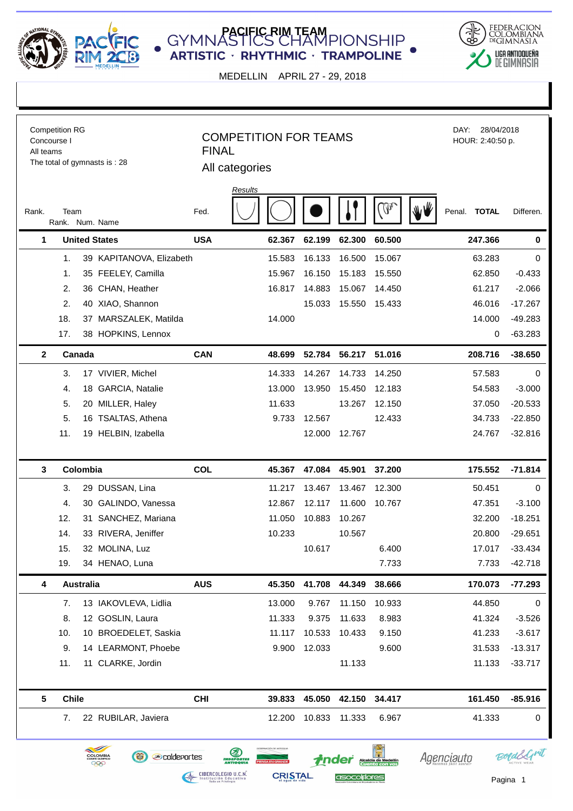

**C** GYMNASTICS CHAMPIONSHIP **ARTISTIC · RHYTHMIC · TRAMPOLINE** 



MEDELLIN APRIL 27 - 29, 2018

| <b>Competition RG</b><br>Concourse I<br>All teams<br>The total of gymnasts is: 28 |                           |                  |                                                                                     | <b>COMPETITION FOR TEAMS</b><br><b>FINAL</b><br>All categories |                                                                                                                                    |        |                       |                                                | DAY:         | 28/04/2018<br>HOUR: 2:40:50 p. |  |  |
|-----------------------------------------------------------------------------------|---------------------------|------------------|-------------------------------------------------------------------------------------|----------------------------------------------------------------|------------------------------------------------------------------------------------------------------------------------------------|--------|-----------------------|------------------------------------------------|--------------|--------------------------------|--|--|
| Rank.                                                                             | Team<br>Rank. Num. Name   |                  |                                                                                     | Fed.                                                           | Results                                                                                                                            |        |                       | W                                              | Penal. TOTAL | Differen.                      |  |  |
|                                                                                   | <b>United States</b><br>1 |                  |                                                                                     | <b>USA</b>                                                     | 62.367                                                                                                                             | 62.199 | 62.300                | 60.500                                         | 247.366      | $\pmb{0}$                      |  |  |
|                                                                                   | 1.                        |                  | 39 KAPITANOVA, Elizabeth                                                            |                                                                | 15.583                                                                                                                             | 16.133 | 16.500                | 15.067                                         | 63.283       | 0                              |  |  |
|                                                                                   | 1.                        |                  | 35 FEELEY, Camilla                                                                  |                                                                | 15.967                                                                                                                             | 16.150 | 15.183                | 15.550                                         | 62.850       | $-0.433$                       |  |  |
|                                                                                   | 2.                        |                  | 36 CHAN, Heather                                                                    |                                                                | 16.817                                                                                                                             | 14.883 | 15.067                | 14.450                                         | 61.217       | $-2.066$                       |  |  |
|                                                                                   | 2.                        |                  | 40 XIAO, Shannon                                                                    |                                                                |                                                                                                                                    | 15.033 | 15.550                | 15.433                                         | 46.016       | $-17.267$                      |  |  |
|                                                                                   | 18.                       |                  | 37 MARSZALEK, Matilda                                                               |                                                                | 14.000                                                                                                                             |        |                       |                                                | 14.000       | $-49.283$                      |  |  |
|                                                                                   | 17.                       |                  | 38 HOPKINS, Lennox                                                                  |                                                                |                                                                                                                                    |        |                       |                                                | 0            | $-63.283$                      |  |  |
|                                                                                   | $\mathbf{2}$              | Canada           |                                                                                     | <b>CAN</b>                                                     | 48.699                                                                                                                             | 52.784 | 56.217                | 51.016                                         | 208.716      | $-38.650$                      |  |  |
|                                                                                   | 3.                        |                  | 17 VIVIER, Michel                                                                   |                                                                | 14.333                                                                                                                             | 14.267 | 14.733                | 14.250                                         | 57.583       | 0                              |  |  |
|                                                                                   | 4.                        |                  | 18 GARCIA, Natalie                                                                  |                                                                | 13.000                                                                                                                             | 13.950 | 15.450                | 12.183                                         | 54.583       | $-3.000$                       |  |  |
|                                                                                   | 5.                        |                  | 20 MILLER, Haley                                                                    |                                                                | 11.633                                                                                                                             |        | 13.267                | 12.150                                         | 37.050       | $-20.533$                      |  |  |
|                                                                                   | 5.                        |                  | 16 TSALTAS, Athena                                                                  |                                                                | 9.733                                                                                                                              | 12.567 |                       | 12.433                                         | 34.733       | $-22.850$                      |  |  |
|                                                                                   | 11.                       |                  | 19 HELBIN, Izabella                                                                 |                                                                |                                                                                                                                    | 12.000 | 12.767                |                                                | 24.767       | $-32.816$                      |  |  |
|                                                                                   |                           |                  |                                                                                     |                                                                |                                                                                                                                    |        |                       |                                                |              |                                |  |  |
|                                                                                   | 3                         | Colombia         |                                                                                     | COL                                                            | 45.367                                                                                                                             | 47.084 | 45.901                | 37.200                                         | 175.552      | $-71.814$                      |  |  |
|                                                                                   | 3.                        |                  | 29 DUSSAN, Lina                                                                     |                                                                | 11.217                                                                                                                             | 13.467 | 13.467                | 12.300                                         | 50.451       | 0                              |  |  |
|                                                                                   | 4.                        |                  | 30 GALINDO, Vanessa                                                                 |                                                                | 12.867                                                                                                                             | 12.117 | 11.600                | 10.767                                         | 47.351       | $-3.100$                       |  |  |
|                                                                                   | 12.                       |                  | 31 SANCHEZ, Mariana                                                                 |                                                                | 11.050                                                                                                                             | 10.883 | 10.267                |                                                | 32.200       | $-18.251$                      |  |  |
|                                                                                   | 14.                       |                  | 33 RIVERA, Jeniffer                                                                 |                                                                | 10.233                                                                                                                             |        | 10.567                |                                                | 20.800       | $-29.651$                      |  |  |
|                                                                                   | 15.                       |                  | 32 MOLINA, Luz                                                                      |                                                                |                                                                                                                                    | 10.617 |                       | 6.400                                          | 17.017       | $-33.434$                      |  |  |
|                                                                                   | 19.                       |                  | 34 HENAO, Luna                                                                      |                                                                |                                                                                                                                    |        |                       | 7.733                                          | 7.733        | $-42.718$                      |  |  |
|                                                                                   | 4                         | <b>Australia</b> |                                                                                     | <b>AUS</b>                                                     | 45.350                                                                                                                             | 41.708 | 44.349                | 38.666                                         | 170.073      | $-77.293$                      |  |  |
|                                                                                   | 7.                        |                  | 13 IAKOVLEVA, Lidlia                                                                |                                                                | 13.000                                                                                                                             | 9.767  | 11.150                | 10.933                                         | 44.850       | 0                              |  |  |
|                                                                                   | 8.                        |                  | 12 GOSLIN, Laura                                                                    |                                                                | 11.333                                                                                                                             | 9.375  | 11.633                | 8.983                                          | 41.324       | $-3.526$                       |  |  |
|                                                                                   | 10.                       |                  | 10 BROEDELET, Saskia                                                                |                                                                | 11.117                                                                                                                             | 10.533 | 10.433                | 9.150                                          | 41.233       | $-3.617$                       |  |  |
|                                                                                   | 9.                        |                  | 14 LEARMONT, Phoebe                                                                 |                                                                | 9.900                                                                                                                              | 12.033 |                       | 9.600                                          | 31.533       | $-13.317$                      |  |  |
|                                                                                   | 11.                       |                  | 11 CLARKE, Jordin                                                                   |                                                                |                                                                                                                                    |        | 11.133                |                                                | 11.133       | $-33.717$                      |  |  |
|                                                                                   |                           |                  |                                                                                     |                                                                |                                                                                                                                    |        |                       |                                                |              |                                |  |  |
|                                                                                   | 5                         | <b>Chile</b>     |                                                                                     | <b>CHI</b>                                                     | 39.833                                                                                                                             | 45.050 | 42.150                | 34.417                                         | 161.450      | $-85.916$                      |  |  |
|                                                                                   | 7.                        |                  | 22 RUBILAR, Javiera                                                                 |                                                                | 12.200                                                                                                                             | 10.833 | 11.333                | 6.967                                          | 41.333       | 0                              |  |  |
|                                                                                   |                           |                  | $\sim$<br>O<br><b><i><u></u></i></b> coldeportes<br>COLOMBIA<br>999<br>$\mathbf{e}$ |                                                                | 医<br><b>INDEPORTES</b><br>ANTIOQUIA<br><b>CIBERCOLEGIO U.C.N.</b><br>Institución Educativa<br>Todo un Privilegio<br><b>CRISTAL</b> |        | tnder<br>asocolplores | <b>Alcaldía de Medellín<br/>Cuento con vos</b> | Agenciauto   | Pagina 1                       |  |  |